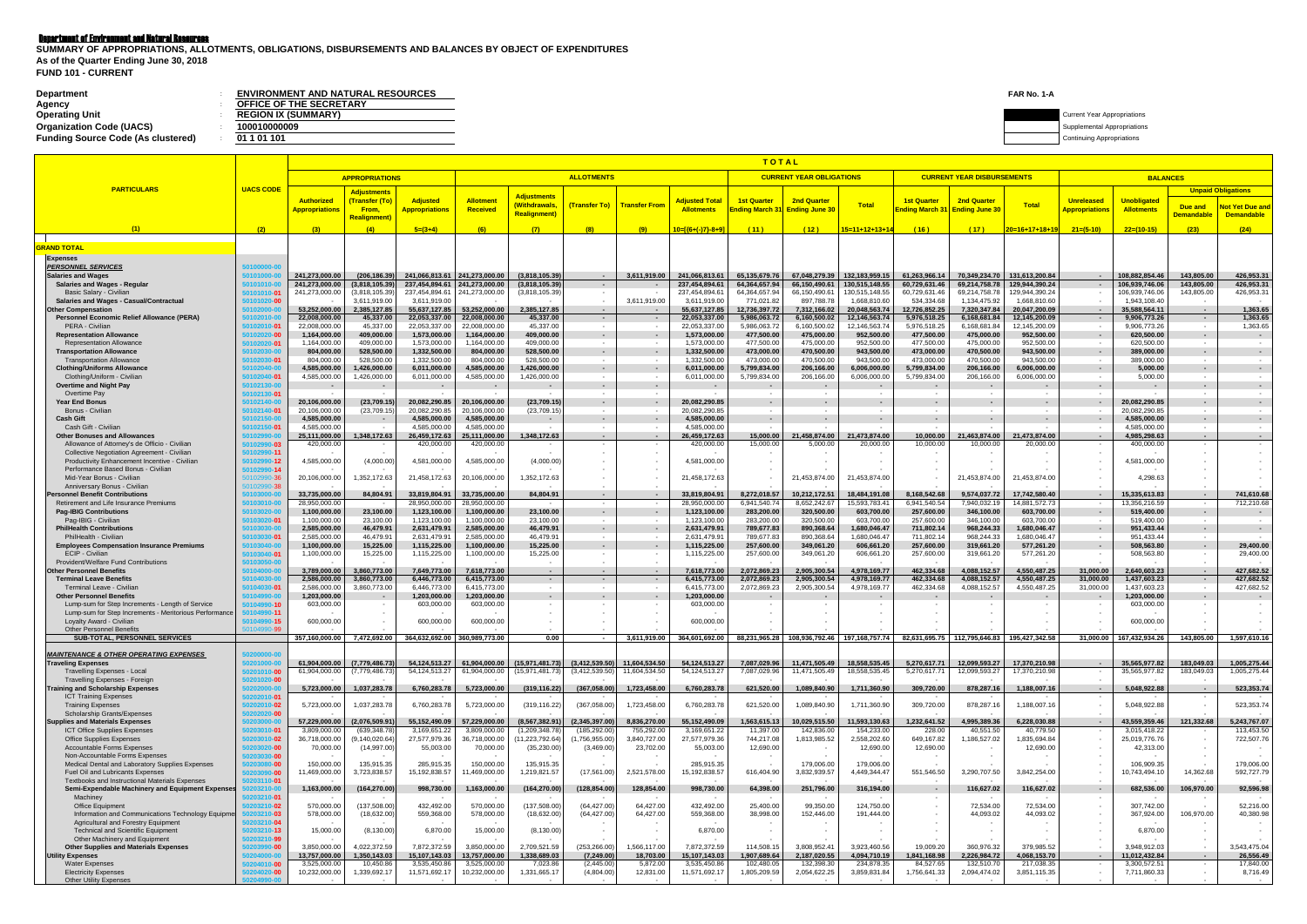## Department of Environment and Natural Resources

| Department                                | <b>ENVIRONMENT AND NATURAL RESOURCES</b> | FAR No. 1-A |                                    |
|-------------------------------------------|------------------------------------------|-------------|------------------------------------|
| Agency                                    | <b>OFFICE OF THE SECRETARY</b>           |             |                                    |
| <b>Operating Unit</b>                     | <b>REGION IX (SUMMARY)</b>               |             | <b>Current Year Appropriations</b> |
| <b>Organization Code (UACS)</b>           | 100010000009                             |             | Supplemental Appropriations        |
| <b>Funding Source Code (As clustered)</b> | 01 1 01 101                              |             | Continuing Appropriations          |
|                                           |                                          |             |                                    |

**FUND 101 - CURRENT SUMMARY OF APPROPRIATIONS, ALLOTMENTS, OBLIGATIONS, DISBURSEMENTS AND BALANCES BY OBJECT OF EXPENDITURES As of the Quarter Ending June 30, 2018**

|                                                                                              |                                           |                                            |                                               |                                          |                                              |                                      |                                    |                                    |                                            | ΤΟΤΑL                               |                                             |                                |                                                 |                                             |                                |                                                  |                                         |                          |                                                     |
|----------------------------------------------------------------------------------------------|-------------------------------------------|--------------------------------------------|-----------------------------------------------|------------------------------------------|----------------------------------------------|--------------------------------------|------------------------------------|------------------------------------|--------------------------------------------|-------------------------------------|---------------------------------------------|--------------------------------|-------------------------------------------------|---------------------------------------------|--------------------------------|--------------------------------------------------|-----------------------------------------|--------------------------|-----------------------------------------------------|
|                                                                                              |                                           |                                            | <b>APPROPRIATIONS</b>                         |                                          |                                              |                                      | <b>ALLOTMENTS</b>                  |                                    |                                            |                                     | <b>CURRENT YEAR OBLIGATIONS</b>             |                                |                                                 | <b>CURRENT YEAR DISBURSEMENTS</b>           |                                |                                                  | <b>BALANCES</b>                         |                          |                                                     |
| <b>PARTICULARS</b>                                                                           | <b>UACS CODE</b>                          | <b>Authorized</b><br><b>Appropriations</b> | <b>Adjustments</b><br>(Transfer (To)<br>From, | <b>Adjusted</b><br><b>Appropriations</b> | Allotment<br>Received                        | <b>Adjustments</b><br>(Withdrawals,  | (Transfer To)                      | <b>Transfer From</b>               | <b>Adjusted Total</b><br><b>Allotments</b> | <b>1st Quarter</b><br>nding March 3 | <b>2nd Quarter</b><br><b>Ending June 30</b> | <b>Total</b>                   | <b>1st Quarter</b><br>Ending March 3            | <b>2nd Quarter</b><br><b>Ending June 30</b> | <b>Total</b>                   | <b>Unreleased</b><br><mark>Appropriations</mark> | <b>Unobligated</b><br><b>Allotments</b> | Due and                  | <b>Unpaid Obligations</b><br><b>Not Yet Due and</b> |
|                                                                                              |                                           |                                            | <b>Realignment</b> )                          |                                          |                                              | <b>Realignment)</b>                  |                                    |                                    |                                            |                                     |                                             |                                |                                                 |                                             |                                |                                                  |                                         | <b>Demandable</b>        | <b>Demandable</b>                                   |
| (1)                                                                                          | (2)                                       | (3)                                        | (4)                                           | $5=(3+4)$                                | (6)                                          | (7)                                  | (8)                                | (9)                                | 10=[{6+(-)7}-8+9]                          | (11)                                | (12)                                        | 15=11+12+13+14                 | (16)                                            | (17)                                        | $20=16+17+18+19$               | $21=(5-10)$                                      | $22=(10-15)$                            | (23)                     | (24)                                                |
| <b>GRAND TOTAL</b>                                                                           |                                           |                                            |                                               |                                          |                                              |                                      |                                    |                                    |                                            |                                     |                                             |                                |                                                 |                                             |                                |                                                  |                                         |                          |                                                     |
| <b>Expenses</b>                                                                              |                                           |                                            |                                               |                                          |                                              |                                      |                                    |                                    |                                            |                                     |                                             |                                |                                                 |                                             |                                |                                                  |                                         |                          |                                                     |
| <b>PERSONNEL SERVICES</b><br><b>Salaries and Wages</b>                                       | 50100000-0<br>i0101000-l                  | 241,273,000.00                             | (206, 186.39)                                 |                                          | 241.066.813.61 241.273.000.00                | (3,818,105.39)                       | $\sim$ 100 $\mu$                   | 3,611,919.00                       | 241,066,813.61                             | 65,135,679.76                       | 67,048,279.39                               | 132,183,959.15                 | 61,263,966.14                                   | 70,349,234.70                               | 131,613,200.84                 | $\sim$ $\sim$                                    | 108.882.854.46                          | 143.805.00               | 426,953.31                                          |
| Salaries and Wages - Regular                                                                 | 50101010-0                                | 241,273,000.00                             | (3,818,105.39)                                | 237,454,894.61                           | 241,273,000.00                               | (3,818,105.39)                       | - 50                               |                                    | 237,454,894.61                             | 64,364,657.94                       | 66,150,490.61                               | 130,515,148.55                 | 60,729,631.46                                   | 69,214,758.78                               | 129,944,390.24                 | - 11                                             | 106,939,746.06                          | 143,805.00               | 426,953.31                                          |
| Basic Salary - Civilian                                                                      | 50101010-01                               | 241,273,000.00                             | (3,818,105.39)                                | 237,454,894.61                           | 241,273,000.00                               | (3,818,105.39                        | $\sim$                             |                                    | 237,454,894.61                             | 64,364,657.94                       | 66,150,490.61                               | 130,515,148.55                 | 60,729,631.46                                   | 69,214,758.78                               | 129,944,390.24                 | $\overline{\phantom{a}}$                         | 106,939,746.06                          | 143,805.00               | 426,953.31                                          |
| Salaries and Wages - Casual/Contractual<br><b>Other Compensation</b>                         | 50101020-00<br>0102000-0                  | 53,252,000.00                              | 3,611,919.00<br>2,385,127.85                  | 3,611,919.00<br>55,637,127.85            | 53,252,000.00                                | 2,385,127.85                         | $\sim$<br>$\sim$                   | 3,611,919.00                       | 3,611,919.00<br>55,637,127.85              | 771,021.82<br>12,736,397.72         | 897,788.78<br>7,312,166.02                  | 1,668,810.60<br>20,048,563.74  | 534,334.68<br>12,726,852.25                     | 1,134,475.92<br>7,320,347.84                | 1,668,810.60<br>20,047,200.09  | $\sim$<br>$\sim$                                 | 1,943,108.40<br>35,588,564.11           | $\sim$                   | $\sim$<br>1,363.65                                  |
| <b>Personnel Economic Relief Allowance (PERA)</b>                                            | 50102010-0                                | 22,008,000.00                              | 45,337.00                                     | 22,053,337.00                            | 22,008,000.00                                | 45,337.00                            | $\sim$ $-$                         |                                    | 22,053,337.00                              | 5,986,063.72                        | 6,160,500.02                                | 12,146,563.74                  | 5,976,518.25                                    | 6,168,681.84                                | 12,145,200.09                  | $\sim$ $\sim$                                    | 9,906,773.26                            | $\sim$                   | 1,363.65                                            |
| PERA - Civilian<br><b>Representation Allowance</b>                                           | 50102010-01<br>50102020- <mark>0</mark> 0 | 22,008,000.00<br>1,164,000.00              | 45,337.00<br>409,000.00                       | 22,053,337.00<br>1,573,000.00            | 22,008,000.00<br>1,164,000.00                | 45,337.00<br>409,000.00              | $\sim$<br>$\sim$                   | $\sim$                             | 22,053,337.00<br>1,573,000.00              | 5,986,063.72<br>477,500.00          | 6,160,500.02<br>475,000.00                  | 12,146,563.74<br>952,500.00    | 5,976,518.25<br>477,500.00                      | 6,168,681.84<br>475,000.00                  | 12,145,200.09<br>952,500.00    | $\sim$ $-$<br>$\sim$                             | 9,906,773.26<br>620,500.00              | $\sim$<br>$\sim$         | 1,363.65                                            |
| <b>Representation Allowance</b>                                                              | i0102020-0 <sup>.</sup>                   | 1,164,000.00                               | 409,000.00                                    | 1,573,000.00                             | 1,164,000.00                                 | 409,000.00                           | $\sim$                             | $\sim$                             | 1,573,000.00                               | 477,500.00                          | 475,000.00                                  | 952,500.00                     | 477,500.00                                      | 475,000.00                                  | 952,500.00                     | $\sim$                                           | 620,500.00                              | $\sim$                   | $\sim$                                              |
| <b>Transportation Allowance</b>                                                              | 0102030-0                                 | 804,000.00                                 | 528,500.00                                    | 1,332,500.00                             | 804,000.00                                   | 528,500.00                           | $\sim$<br>$\sim$                   | $\overline{\phantom{a}}$           | 1,332,500.00                               | 473,000.00                          | 470,500.00                                  | 943,500.00                     | 473,000.00                                      | 470,500.00                                  | 943,500.00                     | $\sim$                                           | 389,000.00                              | $\sim$                   |                                                     |
| <b>Transportation Allowance</b><br><b>Clothing/Uniforms Allowance</b>                        | i0102030-0 <sup>.</sup><br>50102040-0     | 804,000.00<br>4,585,000.00                 | 528,500.00<br>1,426,000.00                    | 1,332,500.00<br>6,011,000.00             | 804,000.00<br>4,585,000.00                   | 528,500.00<br>1,426,000.00           | $\sim$                             | $\sim$                             | 1,332,500.00<br>6,011,000.00               | 473,000.00<br>5,799,834.00          | 470,500.00<br>206,166.00                    | 943,500.00<br>6,006,000.00     | 473,000.00<br>5,799,834.00                      | 470,500.00<br>206,166.00                    | 943,500.00<br>6,006,000.00     | $\sim$<br>$\sim$                                 | 389,000.00<br>5,000.00                  | $\sim$                   | $\sim$                                              |
| Clothing/Uniform - Civilian                                                                  | 50102040-0 <sup>*</sup>                   | 4,585,000.00                               | 1,426,000.00                                  | 6,011,000.00                             | 4,585,000.00                                 | 1,426,000.00                         | $\sim$                             | $\sim$                             | 6,011,000.00                               | 5,799,834.00                        | 206,166.00                                  | 6,006,000.00                   | 5,799,834.00                                    | 206,166.00                                  | 6,006,000.00                   | $\sim$                                           | 5,000.00                                | $\sim$                   | $\sim$                                              |
| <b>Overtime and Night Pay</b><br>Overtime Pay                                                | 50102130-00<br>50102130-01                |                                            |                                               |                                          |                                              | $\sim$                               | $\blacksquare$<br>$\sim$           | $\overline{\phantom{a}}$<br>$\sim$ |                                            | $\sim$                              |                                             | $\sim$                         | $\sim$                                          |                                             | $\sim$                         | $\overline{\phantom{a}}$<br>$\sim$ $-$           |                                         | $\overline{\phantom{a}}$ | $\sim$                                              |
| <b>Year End Bonus</b>                                                                        | 50102140-0                                | 20,106,000.00                              | (23,709.15)                                   | 20,082,290.85                            | 20,106,000.00                                | (23,709.15)                          | $\sim$                             | $\sim$                             | 20,082,290.85                              | $\sim$                              | $\sim$                                      |                                | $\sim$                                          | $\overline{\phantom{a}}$                    |                                | $\sim$                                           | 20,082,290.85                           |                          |                                                     |
| Bonus - Civilian                                                                             | 50102140-01                               | 20,106,000.00                              | (23,709.15)                                   | 20,082,290.85                            | 20,106,000.00                                | (23,709.15                           | $\sim$                             |                                    | 20,082,290.85                              | $\sim$                              |                                             |                                | $\sim$                                          |                                             |                                | $\sim$                                           | 20,082,290.85                           | $\sim$                   |                                                     |
| <b>Cash Gift</b><br>Cash Gift - Civilian                                                     | 50102150-0<br>50102150-01                 | 4,585,000.00<br>4,585,000.00               |                                               | 4,585,000.00<br>4,585,000.00             | 4,585,000.00<br>4,585,000.00                 | $\sim$                               | $\sim$<br>$\sim$                   | $\sim$                             | 4,585,000.00<br>4,585,000.00               | $\sim$                              | ٠                                           | ٠                              | $\sim$                                          | $\blacksquare$                              |                                | $\sim$<br>$\sim$                                 | 4,585,000.00<br>4,585,000.00            | $\sim$                   |                                                     |
| <b>Other Bonuses and Allowances</b>                                                          | 50102990-0                                | 25,111,000.00                              | 1,348,172.63                                  | 26,459,172.63                            | 25,111,000.00                                | 1,348,172.63                         | <b>CO</b>                          | $\sim$                             | 26,459,172.63                              | 15,000.00                           | 21,458,874.00                               | 21,473,874.00                  | 10,000.00                                       | 21,463,874.00                               | 21,473,874.00                  | $\sim$                                           | 4,985,298.63                            | $\sim$                   | $\sim$ 100 $\mu$                                    |
| Allowance of Attorney's de Officio - Civilian                                                | 50102990-03                               | 420,000.00                                 |                                               | 420,000.00                               | 420,000.00                                   |                                      | $\sim$                             |                                    | 420,000.00                                 | 15,000.00                           | 5,000.00                                    | 20,000.00                      | 10,000.00                                       | 10,000.00                                   | 20,000.00                      | $\sim$                                           | 400,000.00                              |                          |                                                     |
| Collective Negotiation Agreement - Civilian<br>Productivity Enhancement Incentive - Civilian | 50102990-11<br>50102990-12                | 4,585,000.00                               | (4,000.00)                                    | 4,581,000.00                             | 4,585,000.00                                 | (4,000.00)                           | $\overline{\phantom{a}}$           |                                    | 4,581,000.00                               |                                     |                                             |                                |                                                 |                                             |                                | $\sim$                                           | 4,581,000.00                            |                          |                                                     |
| Performance Based Bonus - Civilian<br>Mid-Year Bonus - Civilian                              | 50102990-14<br>50102990- <b>36</b>        | 20,106,000.00                              | 1,352,172.63                                  | 21,458,172.63                            | 20,106,000.00                                | ,352,172.63                          |                                    |                                    | 21,458,172.63                              |                                     | 21,453,874.00                               | 21,453,874.00                  |                                                 | 21,453,874.00                               | 21,453,874.00                  |                                                  | 4,298.63                                |                          |                                                     |
| Anniversary Bonus - Civilian<br><b>Personnel Benefit Contributions</b>                       | 50102990-38<br>50103000-0                 | 33,735,000.00                              | 84,804.91                                     | 33,819,804.91                            | 33,735,000.00                                | 84,804.91                            | $\overline{\phantom{a}}$<br>$\sim$ | $\sim$                             | 33,819,804.91                              | 8,272,018.57                        | 10,212,172.51                               | 18,484,191.08                  | 8,168,542.68                                    | 9,574,037.72                                | 17,742,580.40                  | $\sim$<br>$\sim$                                 | 15,335,613.83                           | $\sim$                   | 741,610.68                                          |
| Retirement and Life Insurance Premiums                                                       | 60103010-0                                | 28,950,000.00                              |                                               | 28,950,000.00                            | 28,950,000.00                                |                                      | $\sim$                             |                                    | 28,950,000.00                              | 6,941,540.74                        | 8,652,242.67                                | 15,593,783.41                  | 6,941,540.54                                    | 7,940,032.19                                | 14,881,572.73                  | $\sim$                                           | 13,356,216.59                           |                          | 712,210.68                                          |
| <b>Pag-IBIG Contributions</b>                                                                | 50103020-0                                | 1,100,000.00                               | 23,100.00                                     | 1,123,100.00                             | 1,100,000.00                                 | 23,100.00                            | $\sim$                             | $\sim$                             | 1,123,100.00                               | 283,200.00                          | 320,500.00                                  | 603,700.00                     | 257,600.00                                      | 346,100.00                                  | 603,700.00                     | $\sim$ $-$                                       | 519,400.00                              | $\sim$                   |                                                     |
| Pag-IBIG - Civilian<br><b>PhilHealth Contributions</b>                                       | 50103020-01<br>0103030-0                  | 1,100,000.00<br>2,585,000.00               | 23,100.00<br>46,479.91                        | 1,123,100.00<br>2,631,479.91             | 1,100,000.00<br>2,585,000.00                 | 23,100.00<br>46,479.91               | $\sim$<br>$\sim$                   | $\sim$                             | 1,123,100.00<br>2,631,479.91               | 283,200.00<br>789,677.83            | 320,500.00<br>890,368.64                    | 603,700.00<br>1,680,046.47     | 257,600.00<br>711,802.14                        | 346,100.00<br>968,244.33                    | 603,700.00<br>1,680,046.47     | $\sim$<br>$\sim$                                 | 519,400.00<br>951,433.44                | $\sim$                   |                                                     |
| PhilHealth - Civilian                                                                        | i0103030- <b>0</b> 1                      | 2,585,000.00                               | 46,479.91                                     | 2,631,479.91                             | 2,585,000.00                                 | 46,479.91                            | $\sim$                             |                                    | 2,631,479.91                               | 789,677.83                          | 890,368.64                                  | 1,680,046.47                   | 711,802.1                                       | 968,244.33                                  | 1,680,046.47                   | $\sim$                                           | 951,433.44                              | $\sim$                   |                                                     |
| <b>Employees Compensation Insurance Premiums</b><br>ECIP - Civilian                          | 0103040-0<br>50103040-01                  | 1,100,000.00<br>1,100,000.00               | 15,225.00<br>15,225.00                        | 1,115,225.00<br>1,115,225.00             | 1,100,000.00<br>1,100,000.00                 | 15,225.00<br>15,225.00               | $\sim$<br>$\sim$                   | $\sim$                             | 1,115,225.00<br>1,115,225.00               | 257,600.00<br>257,600.00            | 349,061.20<br>349,061.20                    | 606,661.20<br>606,661.20       | 257,600.00<br>257,600.00                        | 319,661.20<br>319,661.20                    | 577,261.20<br>577,261.20       | $\sim$<br>$\sim$                                 | 508,563.80<br>508,563.80                | $\sim$                   | 29,400.00<br>29,400.00                              |
| Provident/Welfare Fund Contributions                                                         | 0103050-0                                 |                                            |                                               |                                          |                                              |                                      | $\overline{\phantom{a}}$           |                                    |                                            |                                     |                                             |                                |                                                 |                                             |                                | $\sim$                                           |                                         |                          |                                                     |
| <b>Other Personnel Benefits</b>                                                              | 0104000-0                                 | 3,789,000.00                               | 3,860,773.00                                  | 7,649,773.00                             | 7,618,773.00                                 | $\sim$                               | $\sim$                             | $\sim$                             | 7,618,773.00                               | 2,072,869.23                        | 2,905,300.54                                | 4,978,169.77                   | 462,334.68                                      | 4,088,152.57                                | 4,550,487.25                   | 31,000.00                                        | 2,640,603.23                            | $\sim$                   | 427,682.52                                          |
| <b>Terminal Leave Benefits</b><br>Terminal Leave - Civilian                                  | 50104030-0<br>50104030- <b>0</b> 1        | 2,586,000.00<br>2,586,000.00               | 3,860,773.00<br>3,860,773.00                  | 6,446,773.00<br>6,446,773.00             | 6,415,773.00<br>6,415,773.00                 | $\sim$                               | $\sim$<br>$\sim$                   | $\sim$                             | 6,415,773.00<br>6,415,773.00               | 2,072,869.23<br>2,072,869.23        | 2,905,300.54<br>2,905,300.54                | 4,978,169.77<br>4,978,169.77   | 462,334.68<br>462,334.68                        | 4,088,152.57<br>4,088,152.57                | 4,550,487.25<br>4,550,487.25   | 31,000.00<br>31,000.00                           | 1,437,603.23<br>1,437,603.23            | $\sim$                   | 427,682.52<br>427,682.52                            |
| <b>Other Personnel Benefits</b>                                                              | 50104990-00                               | 1,203,000.00                               |                                               | 1,203,000.00                             | 1,203,000.00                                 |                                      | $\blacksquare$                     |                                    | 1,203,000.00                               |                                     |                                             |                                |                                                 |                                             |                                | $\overline{\phantom{a}}$                         | 1,203,000.00                            |                          |                                                     |
| Lump-sum for Step Increments - Length of Service                                             | 50104990-10                               | 603,000.00                                 |                                               | 603,000.00                               | 603,000.00                                   |                                      | $\blacksquare$                     |                                    | 603,000.00                                 | $\overline{\phantom{a}}$            |                                             |                                |                                                 |                                             |                                | $\sim$                                           | 603,000.00                              |                          |                                                     |
| Lump-sum for Step Increments - Meritorious Performance<br>Loyalty Award - Civilian           | 50104990-11<br>50104990-15                | 600,000.00                                 |                                               | 600,000.00                               | 600,000.00                                   |                                      |                                    |                                    | 600,000.00                                 |                                     |                                             |                                |                                                 |                                             |                                |                                                  | 600,000.00                              |                          |                                                     |
| <b>Other Personnel Benefits</b>                                                              | 0104990-99                                |                                            |                                               |                                          |                                              |                                      |                                    |                                    |                                            |                                     |                                             |                                |                                                 |                                             |                                |                                                  |                                         |                          |                                                     |
| SUB-TOTAL, PERSONNEL SERVICES                                                                |                                           | 357.160.000.00                             | 7,472,692.00                                  |                                          | 364,632,692.00 360,989,773.00                | 0.00                                 | $\sim$                             | 3,611,919.00                       | 364,601,692.00                             | 88,231,965.28                       |                                             |                                | 108,936,792.46   197,168,757.74   82,631,695.75 | 112.795.646.83                              | 195,427,342.58                 | 31,000.00                                        | 167,432,934.26                          | 143,805.00               | 1,597,610.16                                        |
| <b>MAINTENANCE &amp; OTHER OPERATING EXPENSES</b>                                            |                                           |                                            |                                               |                                          |                                              |                                      |                                    |                                    |                                            |                                     |                                             |                                |                                                 |                                             |                                |                                                  |                                         |                          |                                                     |
| <b>Traveling Expenses</b><br>Travelling Expenses - Local                                     | 0201000-0                                 | 61.904.000.00<br>61,904,000.00             | (7,779,486.73)<br>(7,779,486.73)              | 54.124.513.27                            | 54,124,513.27 61,904,000.00<br>61,904,000.00 | (15,971,481.73)<br>(15, 971, 481.73) | (3,412,539.50)<br>(3,412,539.50)   | 11,604,534.50<br>11,604,534.50     | 54, 124, 513. 27<br>54, 124, 513. 27       | 7,087,029.96<br>7,087,029.96        | 11,471,505.49<br>11,471,505.49              | 18,558,535.45<br>18,558,535.45 | 5,270,617.71<br>5,270,617.71                    | 12,099,593.27<br>12,099,593.27              | 17,370,210.98<br>17,370,210.98 | $\sim$                                           | 35,565,977.82<br>35,565,977.82          | 183.049.03<br>183,049.03 | 1,005,275.44<br>1,005,275.44                        |
| Travelling Expenses - Foreign                                                                | 50201010-00<br>50201020-00                |                                            |                                               |                                          |                                              |                                      |                                    |                                    |                                            |                                     |                                             |                                |                                                 |                                             |                                | $\sim$<br>$\sim$ $-$                             |                                         |                          |                                                     |
| <b>Training and Scholarship Expenses</b>                                                     | 0202000-0                                 | 5,723,000.00                               | 1,037,283.78                                  | 6,760,283.78                             | 5,723,000.00                                 | (319, 116.22)                        | (367,058.00)                       | 1,723,458.00                       | 6,760,283.78                               | 621,520.00                          | 1,089,840.90                                | 1,711,360.90                   | 309,720.00                                      | 878,287.16                                  | 1,188,007.16                   | $\sim$                                           | 5,048,922.88                            | $\sim$                   | 523,353.74                                          |
| <b>ICT Training Expenses</b><br><b>Training Expenses</b>                                     | i0202010-01<br>50202010-02                | 5,723,000.00                               | 1,037,283.78                                  | 6,760,283.78                             | 5,723,000.00                                 | (319, 116.22)                        | (367,058.00)                       | 1,723,458.00                       | 6,760,283.78                               | 621,520.00                          | 1,089,840.90                                | 1,711,360.90                   | 309,720.00                                      | 878,287.16                                  | 1,188,007.16                   | $\sim$<br>$\sim$                                 | 5,048,922.88                            |                          | 523,353.74                                          |
| Scholarship Grants/Expenses                                                                  | 0202020-00                                |                                            |                                               |                                          |                                              |                                      |                                    |                                    |                                            |                                     |                                             |                                |                                                 |                                             |                                | $\sim$                                           |                                         |                          |                                                     |
| <b>Supplies and Materials Expenses</b>                                                       | 0203000-0                                 | 57,229,000.00                              | (2,076,509.91                                 | 55,152,490.09                            | 57,229,000.00                                | (8,567,382.91)                       | (2,345,397.00                      | 8,836,270.00                       | 55,152,490.09                              | 1,563,615.13                        | 10,029,515.50                               | 11,593,130.63                  | 1,232,641.52                                    | 4,995,389.36                                | 6.228.030.88                   | $\sim 10^{-1}$                                   | 43,559,359.46                           | 121,332.68               | 5,243,767.07                                        |
| <b>ICT Office Supplies Expenses</b><br><b>Office Supplies Expenses</b>                       | 50203010-01<br>50203010- <b>02</b>        | 3,809,000.00<br>36,718,000.00              | (639, 348. 78<br>(9, 140, 020.64)             | 3,169,651.22<br>27,577,979.36            | 3,809,000.00<br>36,718,000.00                | (1,209,348.78)<br>(11, 223, 792.64)  | (185, 292.00)<br>(1,756,955.00)    | 755,292.00<br>3,840,727.00         | 3,169,651.22<br>27,577,979.36              | 11,397.00<br>744,217.08             | 142,836.00<br>1,813,985.52                  | 154,233.00<br>2,558,202.60     | 228.00<br>649,167.82                            | 40,551.50<br>1,186,527.02                   | 40,779.50<br>1,835,694.84      | $\sim$<br>$\sim$                                 | 3,015,418.22<br>25,019,776.76           |                          | 113,453.50<br>722,507.76                            |
| <b>Accountable Forms Expenses</b>                                                            | i0203020- <b>00</b>                       | 70,000.00                                  | (14, 997.00)                                  | 55,003.00                                | 70,000.00                                    | (35, 230.00)                         | (3,469.00)                         | 23,702.00                          | 55,003.00                                  | 12,690.00                           |                                             | 12,690.00                      | 12,690.00                                       |                                             | 12,690.00                      | $\sim$                                           | 42,313.00                               |                          |                                                     |
| Non-Accountable Forms Expenses<br>Medical Dental and Laboratory Supplies Expenses            | 0203030-00                                | 150,000.00                                 | 135,915.35                                    | 285,915.35                               | 150,000.00                                   | 135,915.35                           | $\overline{\phantom{a}}$           |                                    | 285,915.35                                 | $\overline{\phantom{a}}$            | 179,006.00                                  | 179,006.00                     |                                                 |                                             |                                | $\sim$<br>$\sim$                                 | 106,909.35                              |                          | 179,006.00                                          |
| Fuel Oil and Lubricants Expenses                                                             | 203080-00<br>0203090- <b>00</b>           | 11,469,000.00                              | 3,723,838.57                                  | 15, 192, 838.57                          | 11,469,000.00                                | 1,219,821.57                         | (17,561.00                         | 2,521,578.00                       | 15,192,838.57                              | 616,404.90                          | 3,832,939.57                                | 4,449,344.47                   | 551,546.50                                      | 3,290,707.50                                | 3,842,254.00                   | $\sim$                                           | 10,743,494.10                           | 14,362.68                | 592,727.79                                          |
| Textbooks and Instructional Materials Expenses                                               | 0203110-01                                |                                            |                                               |                                          |                                              | $\sim$                               |                                    |                                    |                                            |                                     |                                             |                                |                                                 |                                             |                                | $\sim$                                           |                                         | $\sim$                   | $\sim$ $\sim$                                       |
| Semi-Expendable Machinery and Equipment Expenses<br>Machiney                                 | 203210-00<br>50203210-01                  | 1,163,000.00                               | (164, 270.00)                                 | 998,730.00                               | 1,163,000.00                                 | (164, 270.00)                        | (128, 854.00)                      | 128,854.00                         | 998,730.00                                 | 64,398.00                           | 251,796.00                                  | 316,194.00                     | $\sim$<br>$\sim$                                | 116,627.02                                  | 116,627.02                     | $\sim$<br>$\sim$                                 | 682,536.00                              | 106,970.00               | 92,596.98                                           |
| Office Equipment                                                                             | 50203210-02                               | 570,000.00                                 | (137, 508.00)                                 | 432,492.00                               | 570,000.00                                   | (137,508.00)                         | (64, 427.00)                       | 64,427.00                          | 432,492.00                                 | 25,400.00                           | 99,350.00                                   | 124,750.00                     | $\sim$                                          | 72,534.00                                   | 72,534.00                      | $\sim$                                           | 307,742.00                              |                          | 52,216.00                                           |
| Information and Communications Technology Equipme                                            | 50203210-03                               | 578,000.00                                 | (18, 632.00)                                  | 559,368.00                               | 578,000.00                                   | (18, 632.00)                         | (64, 427.00)                       | 64,427.00                          | 559,368.00                                 | 38,998.00                           | 152,446.00                                  | 191,444.00                     | $\sim$                                          | 44,093.02                                   | 44,093.02                      | $\sim$                                           | 367,924.00                              | 106,970.00               | 40,380.98                                           |
| Agricultural and Forestry Equipment<br><b>Technical and Scientific Equipment</b>             | 50203210-04<br>50203210-13                | 15,000.00                                  | (8, 130.00)                                   | 6,870.00                                 | 15,000.00                                    | (8, 130.00)                          | $\sim$                             |                                    | 6,870.00                                   | $\sim$                              |                                             |                                | $\sim$<br>$\sim$                                |                                             |                                | $\sim$<br>$\sim$                                 | 6,870.00                                |                          |                                                     |
| Other Machinery and Equipment                                                                | 50203210-99                               |                                            |                                               |                                          |                                              |                                      |                                    |                                    |                                            |                                     |                                             |                                |                                                 |                                             |                                | $\sim$                                           |                                         |                          |                                                     |
| <b>Other Supplies and Materials Expenses</b><br><b>Utility Expenses</b>                      | 0203990-00<br>0204000-0                   | 3,850,000.00<br>13,757,000.00              | 4,022,372.59<br>1,350,143.03                  | 7,872,372.59<br>15,107,143.03            | 3,850,000.00<br>13,757,000.00                | 2,709,521.59<br>1,338,689.03         | (253,266.00<br>(7,249.00)          | 1,566,117.00<br>18,703.00          | 7,872,372.59<br>15,107,143.03              | 114,508.15<br>1,907,689.64          | 3,808,952.41<br>2,187,020.55                | 3,923,460.56<br>4,094,710.19   | 19,009.20<br>1,841,168.98                       | 360,976.32<br>2,226,984.72                  | 379,985.52<br>4,068,153.70     | $\sim$<br>$\sim$ $-$                             | 3,948,912.03<br>11,012,432.84           | $\sim$                   | 3,543,475.04<br>26,556.49                           |
| <b>Water Expenses</b>                                                                        | 50204010-00                               | 3,525,000.00                               | 10,450.86                                     | 3,535,450.86                             | 3,525,000.00                                 | 7,023.86                             | (2,445.00)                         | 5,872.00                           | 3,535,450.86                               | 102,480.05                          | 132,398.30                                  | 234,878.35                     | 84,527.65                                       | 132,510.70                                  | 217,038.35                     | $\sim$                                           | 3,300,572.51                            |                          | 17,840.00                                           |
| <b>Electricity Expenses</b><br><b>Other Utility Expenses</b>                                 | 50204020-00<br>0204990-0                  | 10,232,000.00                              | 1,339,692.17                                  | 11,571,692.17                            | 10,232,000.00                                | 1,331,665.17                         | (4,804.00)                         | 12,831.00                          | 11,571,692.17                              | 1,805,209.59                        | 2,054,622.25                                | 3,859,831.84                   | 1,756,641.33                                    | 2,094,474.02                                | 3,851,115.35                   | $\sim$                                           | 7,711,860.33                            |                          | 8,716.49                                            |
|                                                                                              |                                           |                                            |                                               |                                          |                                              |                                      |                                    |                                    |                                            |                                     |                                             |                                |                                                 |                                             |                                |                                                  |                                         |                          |                                                     |

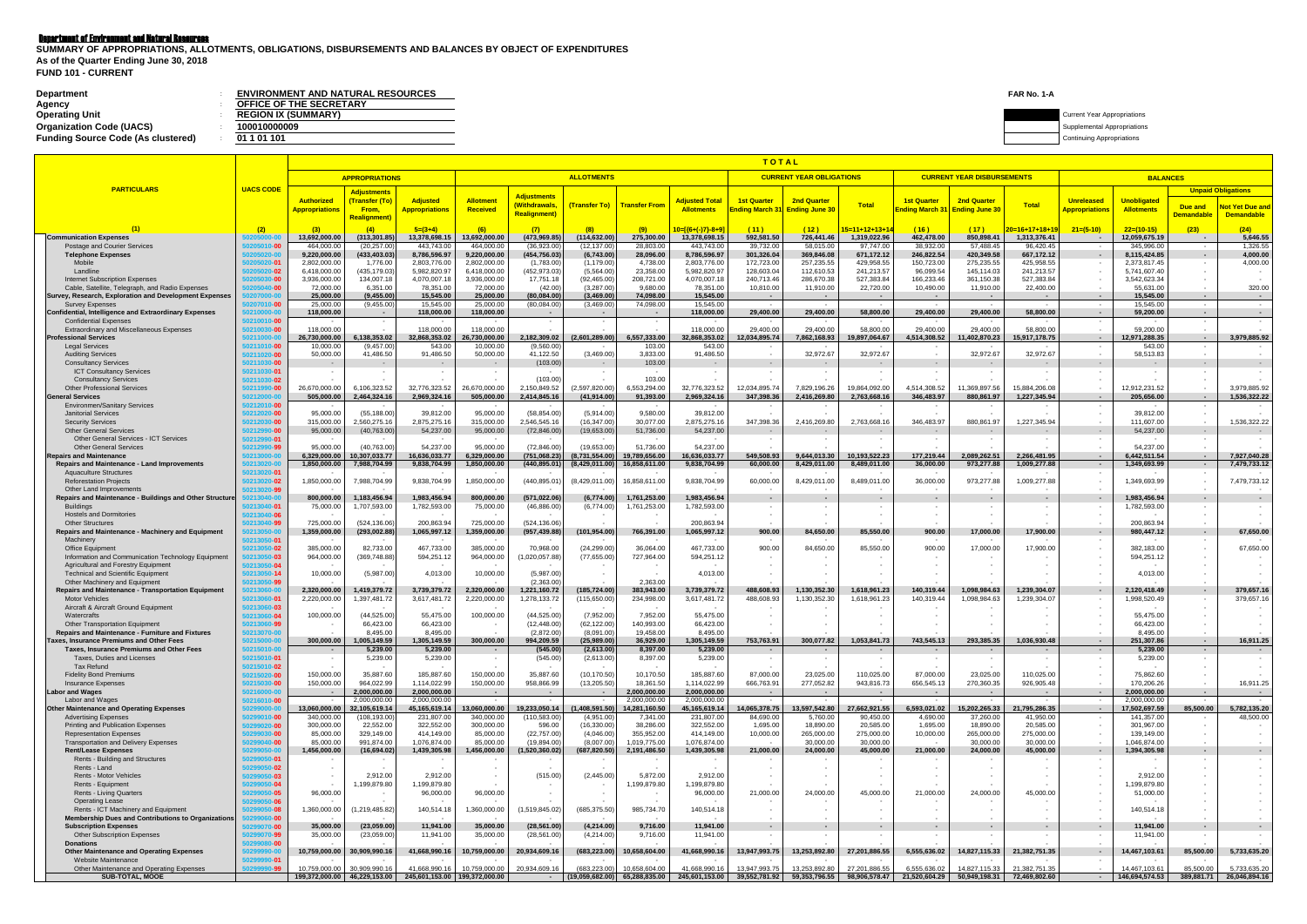### Department of Environment and Natural Resources

| Department                                | <b>ENVIRONMENT AND NATURAL RESOURCES</b> | FAR No. 1-A |                                    |
|-------------------------------------------|------------------------------------------|-------------|------------------------------------|
| Agency                                    | <b>OFFICE OF THE SECRETARY</b>           |             |                                    |
| <b>Operating Unit</b>                     | <b>REGION IX (SUMMARY)</b>               |             | <b>Current Year Appropriations</b> |
| <b>Organization Code (UACS)</b>           | 100010000009                             |             | Supplemental Appropriations        |
| <b>Funding Source Code (As clustered)</b> | 01 1 01 101                              |             | Continuing Appropriations          |
|                                           |                                          |             |                                    |

**FUND 101 - CURRENT SUMMARY OF APPROPRIATIONS, ALLOTMENTS, OBLIGATIONS, DISBURSEMENTS AND BALANCES BY OBJECT OF EXPENDITURES As of the Quarter Ending June 30, 2018**

|                                                                                                           |                                            |                              |                                    |                                                                  | TOTAL                        |                                    |                                    |                               |                               |                                                                                                        |                                 |                                           |                             |                                   |                               |                                                      |                               |                   |                              |
|-----------------------------------------------------------------------------------------------------------|--------------------------------------------|------------------------------|------------------------------------|------------------------------------------------------------------|------------------------------|------------------------------------|------------------------------------|-------------------------------|-------------------------------|--------------------------------------------------------------------------------------------------------|---------------------------------|-------------------------------------------|-----------------------------|-----------------------------------|-------------------------------|------------------------------------------------------|-------------------------------|-------------------|------------------------------|
|                                                                                                           |                                            |                              | <b>APPROPRIATIONS</b>              |                                                                  |                              |                                    | <b>ALLOTMENTS</b>                  |                               |                               |                                                                                                        | <b>CURRENT YEAR OBLIGATIONS</b> |                                           |                             | <b>CURRENT YEAR DISBURSEMENTS</b> |                               |                                                      | <b>BALANCES</b>               |                   |                              |
| <b>PARTICULARS</b>                                                                                        | <b>UACS CODE</b>                           |                              | <b>Adjustments</b>                 |                                                                  |                              |                                    |                                    |                               |                               |                                                                                                        |                                 |                                           |                             |                                   |                               |                                                      |                               |                   | <b>Unpaid Obligations</b>    |
|                                                                                                           |                                            | <b>Authorized</b>            | (Transfer (To)                     | <b>Adjusted</b>                                                  | <b>Allotment</b>             | <b>Adjustments</b><br>(Withdrawals |                                    | (Transfer To) Transfer From   | <b>Adjusted Tota</b>          | <b>1st Quarter</b>                                                                                     | <b>2nd Quarter</b>              | <b>Total</b>                              | <b>1st Quarter</b>          | <b>2nd Quarter</b>                | <b>Total</b>                  | <b>Unreleased</b>                                    | <b>Unobligated</b>            | Due and           | <b>Not Yet Due and</b>       |
|                                                                                                           |                                            | <b>Appropriations</b>        | <b>From.</b><br><b>Realignment</b> | <mark>Appropriations</mark>                                      | Received                     | <b>Realignment</b> )               |                                    |                               | <b>Allotments</b>             | <mark>าding March 31</mark>                                                                            | <b>Ending June 30</b>           |                                           | <mark>nding March 31</mark> | <b>Ending June 30</b>             |                               | <b>Appropriations</b>                                | <b>Allotments</b>             | <b>Demandable</b> | <b>Demandable</b>            |
|                                                                                                           | (2)                                        | (3)                          | $\mathbf{A}$                       | $5=(3+4)$                                                        | (6)                          | (7)                                | (8)                                | (9)                           | $10 = 1(6 + (-17) - 8 + 9)$   | (11)                                                                                                   | (12)                            | <mark>15=11+12+13+1</mark>                | (16)                        | (17)                              | 20=16+17+18+19                | $21=(5-10)$                                          | $22=(10-15)$                  | (23)              | (24)                         |
| <b>Communication Expenses</b><br>Postage and Courier Services                                             | 0205010-0                                  | 13,692,000.00<br>464,000.00  | (313,301.85<br>(20, 257.00)        | 13,378,698.15<br>443,743.00                                      | 13,692,000.00<br>464,000.00  | (473,969.85<br>(36,923.00)         | (114, 632.00)<br>(12,137.00        | 275,300.00<br>28,803.00       | 13,378,698.15<br>443,743.00   | 592,581.50<br>39,732.00                                                                                | 726,441.46<br>58,015.00         | 1,319,022.96<br>97,747.00                 | 462,478.00<br>38,932.00     | 850,898.41<br>57,488.45           | 1,313,376.41<br>96,420.45     | $\sim$<br>$\sim$                                     | 12,059,675.19<br>345,996.0    | . .               | 5,646.55<br>1,326.55         |
| <b>Telephone Expenses</b>                                                                                 | 0205020-1                                  | 9,220,000.00                 | (433, 403.03)                      | 8,786,596.97                                                     | 9,220,000.00                 | (454, 756.03)                      | (6,743.00)                         | 28,096.00                     | 8,786,596.97                  | 301,326.04                                                                                             | 369,846.08                      | 671,172.12                                | 246,822.54                  | 420,349.58                        | 667,172.12                    | $\sim$                                               | 8,115,424.85                  |                   | 4,000.00                     |
| Mobile<br>Landline                                                                                        | 0205020-0<br>0205020-02                    | 2,802,000.00<br>6,418,000.00 | 1,776.00<br>(435, 179.03)          | 2,803,776.00<br>5,982,820.97                                     | 2,802,000.00<br>6,418,000.00 | (1,783.00)<br>(452, 973.03)        | (1, 179.00)<br>(5,564.00)          | 4,738.00<br>23,358.00         | 2,803,776.00<br>5,982,820.97  | 172,723.00<br>128,603.04                                                                               | 257,235.55<br>112,610.53        | 429,958.55<br>241,213.57                  | 150,723.00<br>96,099.54     | 275,235.55<br>145,114.03          | 425,958.55<br>241,213.57      |                                                      | 2,373,817.45<br>5,741,607.40  |                   | 4,000.00                     |
| Internet Subscription Expenses                                                                            | 0205030-00                                 | 3,936,000.00                 | 134,007.18                         | 4,070,007.18                                                     | 3,936,000.00                 | 17,751.18                          | (92, 465.00)                       | 208,721.00                    | 4,070,007.18                  | 240,713.46                                                                                             | 286,670.38                      | 527,383.84                                | 166,233.46                  | 361,150.38                        | 527,383.84                    | $\overline{\phantom{a}}$                             | 3,542,623.34                  |                   |                              |
| Cable, Satellite, Telegraph, and Radio Expenses<br>Survey, Research, Exploration and Development Expenses | 205040-0<br><b>207000-0</b>                | 72,000.00<br>25.000.00       | 6,351.00<br>(9.455.00)             | 78,351.00<br>15.545.00                                           | 72,000.00<br>25.000.00       | (42.00)<br>(80,084.00)             | (3,287.00)<br>(3,469.00)           | 9,680.00<br>74.098.00         | 78,351.00<br>15.545.00        | 10,810.00<br>$\sim$                                                                                    | 11,910.00                       | 22,720.00<br>$\sim$                       | 10,490.00                   | 11,910.00                         | 22,400.00                     | $\sim$<br>$\sim$                                     | 55,631.00<br>15.545.00        |                   | 320.00<br>$\sim$             |
| <b>Survey Expenses</b>                                                                                    | 0207010-00                                 | 25,000.00                    | (9, 455.00)                        | 15,545.00                                                        | 25,000.00                    | (80,084.00)                        | (3,469.00)                         | 74,098.00                     | 15.545.00                     |                                                                                                        |                                 | $\sim$                                    |                             |                                   | $\sim$                        | $\sim$ $-$                                           | 15,545.00                     | $\sim$            | $\sim$                       |
| <b>Confidential, Intelligence and Extraordinary Expenses</b><br><b>Confidential Expenses</b>              | 50210000-0<br>50210010-00                  | 118,000.00                   | $\sim$<br>$\overline{\phantom{a}}$ | 118,000.00                                                       | 118,000.00                   | $\sim$                             | $\sim$<br>$\overline{\phantom{a}}$ | $\sim$                        | 118,000.00                    | 29,400.00                                                                                              | 29,400.00                       | 58.800.00                                 | 29,400.00                   | 29,400.00                         | 58.800.00                     | $\sim$<br>$\sim$                                     | 59,200.00                     | $\sim$            | $\sim$                       |
| <b>Extraordinary and Miscellaneous Expenses</b>                                                           | 50210030-00                                | 118,000.00                   |                                    | 118,000.0                                                        | 118,000.00                   |                                    |                                    |                               | 118,000.00                    | 29,400.00                                                                                              | 29,400.00                       | 58,800.00                                 | 29,400.00                   | 29,400.00                         | 58,800.00                     | $\sim$                                               | 59,200.00                     |                   |                              |
| <b>Professional Services</b><br><b>Legal Services</b>                                                     | 50211000-0<br>50211010-00                  | 26.730.000.00<br>10,000.00   | 6.138.353.02<br>(9, 457.00)        | 32,868,353.02<br>543.00                                          | 26.730.000.00<br>10,000.00   | 2.182.309.02<br>(9,560.00)         | (2,601,289.00)                     | 6.557.333.00<br>103.00        | 32.868.353.02<br>543.00       | 12,034,895.74                                                                                          | 7,862,168.93                    | 19.897.064.67<br>$\overline{\phantom{a}}$ | 4.514.308.52                | 11,402,870.23                     | 15.917.178.75<br>$\sim$       | $\sim$ $\sim$<br>$\sim$                              | 12,971,288.35<br>543.00       | $\sim$            | 3,979,885.92                 |
| <b>Auditing Services</b>                                                                                  | 50211020-00                                | 50,000.00                    | 41,486.50                          | 91,486.50                                                        | 50,000.00                    | 41,122.50                          | (3,469.00)                         | 3,833.00                      | 91,486.50                     | $\sim$ $-$                                                                                             | 32,972.67                       | 32,972.67                                 | $\sim$                      | 32,972.67                         | 32,972.67                     | $\sim$                                               | 58,513.83                     |                   |                              |
| <b>Consultancy Services</b><br><b>ICT Consultancy Services</b>                                            | 50211030-00<br>50211030-0                  |                              |                                    | $\sim$                                                           |                              | (103.00)                           | $\sim$<br>$\sim$                   | 103.00                        | $\sim$                        | $\sim$                                                                                                 |                                 | $\sim$                                    | $\sim$                      |                                   |                               | $\sim$<br>$\overline{\phantom{a}}$                   |                               |                   |                              |
| <b>Consultancy Services</b>                                                                               | 50211030- <b>0</b> 2                       |                              |                                    |                                                                  |                              | (103.00)                           |                                    | 103.00                        |                               |                                                                                                        |                                 |                                           |                             |                                   |                               |                                                      |                               |                   |                              |
| <b>Other Professional Services</b><br><b>General Services</b>                                             | 50211990- <b>0</b> 0<br>50212000-0         | 26,670,000.00<br>505.000.00  | 6,106,323.52<br>2,464,324.16       | 32,776,323.52<br>2.969.324.16                                    | 26,670,000.00<br>505.000.00  | 2,150,849.52<br>2.414.845.16       | (2,597,820.00<br>(41, 914.00)      | 6,553,294.00<br>91,393.00     | 32,776,323.52<br>2.969.324.16 | 12,034,895.74<br>347.398.36                                                                            | 7,829,196.26<br>2.416.269.80    | 19,864,092.00<br>2.763.668.16             | 4,514,308.52<br>346.483.97  | 11,369,897.56<br>880.861.97       | 15,884,206.08<br>1.227.345.94 | $\sim$                                               | 12,912,231.52<br>205.656.00   |                   | 3,979,885.92<br>1,536,322.22 |
| <b>Environmen/Sanitary Services</b>                                                                       | 50212010- <mark>0</mark> 0                 |                              | $\sim$                             |                                                                  |                              |                                    |                                    |                               | $\overline{\phantom{a}}$      |                                                                                                        |                                 |                                           |                             |                                   |                               | $\sim$                                               |                               |                   |                              |
| <b>Janitorial Services</b><br><b>Security Services</b>                                                    | 50212020-00<br>50212030-00                 | 95,000.00<br>315,000.00      | (55, 188.00)<br>2,560,275.16       | 39,812.00<br>2,875,275.16                                        | 95,000.00<br>315,000.00      | (58, 854.00)<br>2,546,545.16       | (5,914.00)<br>(16, 347.00)         | 9,580.00<br>30,077.00         | 39,812.00<br>2,875,275.16     | 347,398.36                                                                                             | 2,416,269.80                    | 2,763,668.16                              | 346,483.97                  | 880,861.97                        | 1,227,345.94                  | $\sim$<br>$\sim$                                     | 39,812.00<br>111,607.00       |                   | 1,536,322.22                 |
| <b>Other General Services</b>                                                                             | 50212990-00                                | 95,000.00                    | (40, 763.00)                       | 54,237.00                                                        | 95,000.00                    | (72, 846.00)                       | (19,653.00)                        | 51,736.00                     | 54,237.00                     |                                                                                                        |                                 |                                           |                             |                                   |                               | $\sim$                                               | 54,237.00                     |                   |                              |
| <b>Other General Services - ICT Services</b>                                                              | 50212990-0 <sup>.</sup>                    | 95,000.00                    | (40, 763.00)                       | 54,237.00                                                        | 95,000.00                    | (72, 846.00)                       | (19,653.00)                        | 51,736.00                     | 54.237.00                     |                                                                                                        |                                 |                                           |                             |                                   |                               | $\overline{\phantom{a}}$                             | 54,237.00                     |                   |                              |
| <b>Other General Services</b><br><b>Repairs and Maintenance</b>                                           | 50212990-99<br>50213000-0                  | 6.329.000.00                 | 10,307,033.77                      | 16,636,033.77                                                    | 6.329.000.00                 | (751,068.23)                       | (8,731,554.00)                     | 19,789,656.00                 | 16.636.033.77                 | 549.508.93                                                                                             | 9,644,013.30                    | 10,193,522.23                             | 177,219.44                  | 2,089,262.51                      | 2.266.481.95                  | $\sim$                                               | 6,442,511.54                  |                   | 7,927,040.28                 |
| Repairs and Maintenance - Land Improvements                                                               | 50213020-0                                 | 1,850,000.00                 | 7,988,704.99                       | 9,838,704.99                                                     | 1,850,000.00                 | (440, 895.01)                      | (8,429,011.00)                     | 16,858,611.00                 | 9,838,704.99                  | 60,000.00                                                                                              | 8,429,011.00                    | 8,489,011.00                              | 36,000.00                   | 973,277.88                        | 1,009,277.88                  | $\sim$                                               | 1,349,693.99                  |                   | 7,479,733.12                 |
| <b>Aquaculture Structures</b><br><b>Reforestation Projects</b>                                            | 50213020-01<br>50213020-02                 | 1,850,000.00                 | 7,988,704.99                       | 9,838,704.99                                                     | 1,850,000.00                 | (440, 895.01)                      | (8,429,011.00                      | 16,858,611.00                 | 9,838,704.99                  | 60,000.00                                                                                              | 8,429,011.00                    | 8,489,011.00                              | 36,000.00                   | 973,277.88                        | 1,009,277.88                  | $\overline{\phantom{a}}$                             | 1,349,693.99                  |                   | 7,479,733.12                 |
| Other Land Improvements                                                                                   | 50213020-99                                |                              |                                    |                                                                  |                              |                                    |                                    |                               |                               |                                                                                                        |                                 |                                           |                             |                                   |                               |                                                      |                               |                   |                              |
| Repairs and Maintenance - Buildings and Other Structure<br><b>Buildings</b>                               | 60213040-0<br>50213040-0                   | 800,000.00<br>75,000.00      | 1,183,456.94<br>1,707,593.00       | 1,983,456.94<br>1,782,593.00                                     | 800,000.00<br>75,000.00      | (571, 022.06)<br>(46, 886.00)      | (6,774.00)<br>(6,774.00)           | 1,761,253.00<br>1,761,253.00  | 1,983,456.94<br>1,782,593.00  | $\sim$                                                                                                 |                                 |                                           | $\sim$                      |                                   |                               | $\overline{\phantom{a}}$<br>$\overline{\phantom{a}}$ | 1,983,456.94<br>1,782,593.00  |                   |                              |
| <b>Hostels and Dormitories</b>                                                                            | 50213040-00                                |                              |                                    |                                                                  |                              |                                    |                                    |                               |                               |                                                                                                        |                                 |                                           |                             |                                   |                               |                                                      |                               |                   |                              |
| <b>Other Structures</b><br>Repairs and Maintenance - Machinery and Equipment                              | 50213040-99<br>50213050-0                  | 725,000.00<br>1,359,000.00   | (524, 136.06)<br>(293,002.88)      | 200,863.94<br>1,065,997.12                                       | 725,000.00<br>1,359,000.00   | (524,136.06<br>(957, 439.88)       | (101, 954.00)                      | 766,391.00                    | 200,863.94<br>1,065,997.1٪    | 900.00                                                                                                 | 84,650.00                       | 85,550.00                                 | 900.00                      | 17,000.00                         | 17,900.00                     | $\overline{\phantom{a}}$<br>$\overline{\phantom{a}}$ | 200,863.94<br>980,447.12      |                   | 67,650.00                    |
| Machinery                                                                                                 | 50213050-0                                 |                              |                                    |                                                                  |                              |                                    |                                    |                               | $\overline{\phantom{a}}$      | $\overline{\phantom{a}}$                                                                               |                                 |                                           |                             |                                   |                               | $\sim$                                               |                               |                   |                              |
| <b>Office Equipment</b><br>Information and Communication Technology Equipment                             | 50213050-02<br>50213050-03                 | 385,000.00<br>964,000.00     | 82,733.00<br>(369, 748.88)         | 467,733.00<br>594,251.12                                         | 385,000.00<br>964,000.00     | 70,968.00<br>1,020,057.88)         | (24, 299.00)<br>(77,655.00)        | 36,064.00<br>727,964.00       | 467,733.00<br>594,251.12      | 900.00                                                                                                 | 84,650.00                       | 85,550.00                                 | 900.00                      | 17,000.00                         | 17,900.00                     | $\sim$<br>$\overline{\phantom{a}}$                   | 382,183.00<br>594,251.12      |                   | 67,650.00                    |
| Agricultural and Forestry Equipment                                                                       | 50213050-04                                |                              |                                    |                                                                  |                              |                                    |                                    |                               |                               |                                                                                                        |                                 |                                           |                             |                                   |                               |                                                      |                               |                   |                              |
| <b>Technical and Scientific Equipment</b><br>Other Machinery and Equipment                                | 50213050-14<br>50213050-99                 | 10,000.00                    | (5,987.00)                         | 4,013.00                                                         | 10,000.00                    | (5,987.00)<br>(2,363.00)           | $\overline{\phantom{a}}$           | 2,363.00                      | 4,013.00                      |                                                                                                        |                                 |                                           |                             |                                   |                               |                                                      | 4,013.00                      |                   |                              |
| <b>Repairs and Maintenance - Transportation Equipment</b>                                                 | 50213060-0                                 | 2,320,000.00                 | 1,419,379.72                       | 3,739,379.72                                                     | 2,320,000.00                 | 1,221,160.72                       | (185,724.00)                       | 383,943.00                    | 3,739,379.72                  | 488,608.93                                                                                             | 1,130,352.30                    | 1,618,961.23                              | 140,319.44                  | 1,098,984.63                      | 1,239,304.07                  | $\overline{\phantom{a}}$                             | 2,120,418.49                  |                   | 379,657.16                   |
| <b>Motor Vehicles</b><br>Aircraft & Aircraft Ground Equipment                                             | 50213060-0 <sup>.</sup><br>50213060-03     | 2,220,000.00                 | 1,397,481.72                       | 3,617,481.72                                                     | 2,220,000.00                 | 1,278,133.72                       | (115, 650.00)                      | 234,998.00                    | 3,617,481.72                  | 488,608.93                                                                                             | 1,130,352.30                    | 1,618,961.23                              | 140,319.44                  | 1,098,984.63                      | 1,239,304.07                  | $\overline{\phantom{a}}$                             | 1,998,520.49                  |                   | 379,657.16                   |
| Watercrafts                                                                                               | 50213060- <b>04</b>                        | 100,000.00                   | (44, 525.00)                       | 55,475.00                                                        | 100,000.00                   | (44, 525.00)                       | (7,952.00)                         | 7,952.00                      | 55,475.00                     |                                                                                                        |                                 |                                           |                             |                                   |                               |                                                      | 55,475.00                     |                   |                              |
| <b>Other Transportation Equipment</b><br><b>Repairs and Maintenance - Furniture and Fixtures</b>          | 50213060- <b>9</b> 9<br>50213070-0         |                              | 66,423.00<br>8,495.00              | 66,423.00<br>8,495.00                                            |                              | (12, 448.00)<br>(2,872.00)         | (62, 122.00)<br>(8,091.00          | 140,993.00<br>19,458.00       | 66,423.00<br>8,495.00         |                                                                                                        |                                 |                                           |                             |                                   |                               |                                                      | 66,423.00<br>8,495.00         |                   |                              |
| Taxes, Insurance Premiums and Other Fees                                                                  | 50215000-0                                 | 300,000.00                   | 1,005,149.59                       | 1,305,149.59                                                     | 300,000.00                   | 994,209.59                         | (25,989.00)                        | 36,929.00                     | 1,305,149.59                  | 753,763.91                                                                                             | 300,077.82                      | 1,053,841.73                              | 743,545.13                  | 293,385.35                        | 1.036.930.48                  | $\overline{a}$                                       | 251,307.86                    |                   | 16,911.25                    |
| Taxes, Insurance Premiums and Other Fees<br>Taxes, Duties and Licenses                                    | )215010-0<br>50215010-01                   |                              | 5,239.00<br>5,239.00               | 5,239.00<br>5,239.00                                             |                              | (545.00)<br>(545.00)               | (2,613.00)<br>(2,613.00)           | 8,397.00<br>8,397.00          | 5,239.00<br>5,239.00          | $\sim$                                                                                                 |                                 |                                           |                             |                                   |                               | $\overline{\phantom{a}}$                             | 5,239.00<br>5,239.00          |                   |                              |
| Tax Refund                                                                                                | 50215010-02                                |                              |                                    |                                                                  |                              |                                    |                                    |                               |                               |                                                                                                        |                                 |                                           |                             |                                   |                               | $\sim$                                               |                               |                   |                              |
| <b>Fidelity Bond Premiums</b><br><b>Insurance Expenses</b>                                                | 50215020-00<br>50215030-00                 | 150,000.00<br>150,000.00     | 35,887.60<br>964,022.99            | 185,887.60<br>1,114,022.99                                       | 150,000.00<br>150,000.00     | 35,887.60<br>958,866.99            | (10, 170.50)<br>(13, 205.50)       | 10,170.50<br>18,361.50        | 185,887.60<br>1,114,022.99    | 87,000.00<br>666,763.91                                                                                | 23,025.00<br>277,052.82         | 110,025.00<br>943,816.73                  | 87,000.00<br>656,545.13     | 23,025.00<br>270,360.35           | 110,025.00<br>926,905.48      | $\sim$<br>$\sim$                                     | 75,862.60<br>170,206.26       |                   | 16,911.25                    |
| <b>Labor and Wages</b>                                                                                    | 50216000-0                                 |                              | 2,000,000.00                       | 2,000,000.00                                                     | $\sim$                       | $\sim$                             | <b>Contract</b>                    | 2,000,000.00                  | 2,000,000.00                  | $\sim$ $\sim$                                                                                          | $\sim$                          | $\sim$                                    | $\sim$ $\sim$               | $\sim$                            | $\sim$                        | $\sim$                                               | 2,000,000.00                  | $\sim$            | <b>Contract Contract</b>     |
| Labor and Wages<br><b>Other Maintenance and Operating Expenses</b>                                        | 50216010-00<br>50299000-0                  | 13,060,000.00                | 2,000,000.00<br>32,105,619.14      | 2,000,000.00<br>45,165,619.14                                    | 13,060,000.00                | 19,233,050.14                      | $\sim$<br>(1,408,591.50)           | 2,000,000.00<br>14,281,160.50 | 2,000,000.00<br>45,165,619.14 | $\sim$ $-$<br>14,065,378.75                                                                            | 13,597,542.80                   | $\sim$<br>27,662,921.55                   | $\sim$<br>6,593,021.02      | 15,202,265.33                     | 21,795,286.35                 | $\sim$<br>$\sim$                                     | 2,000,000.00<br>17,502,697.59 | 85,500.00         | 5,782,135.20                 |
| <b>Advertising Expenses</b>                                                                               | 50299010- <b>00</b>                        | 340,000.00                   | (108, 193.00)                      | 231,807.00                                                       | 340,000.00                   | (110, 583.00)                      | (4,951.00)                         | 7,341.00                      | 231,807.00                    | 84,690.00                                                                                              | 5,760.00                        | 90,450.00                                 | 4,690.00                    | 37,260.00                         | 41,950.00                     | $\sim$                                               | 141,357.00                    |                   | 48,500.00                    |
| <b>Printing and Publication Expenses</b><br><b>Representation Expenses</b>                                | 50299020- <b>00</b><br>50299030- <b>00</b> | 300,000.00<br>85,000.00      | 22,552.00<br>329,149.00            | 322,552.00<br>414,149.00                                         | 300,000.00<br>85,000.00      | 596.00<br>(22, 757.00)             | (16, 330.00)<br>(4,046.00)         | 38,286.00<br>355,952.00       | 322,552.00<br>414,149.00      | 1,695.00<br>10,000.00                                                                                  | 18,890.00<br>265,000.00         | 20,585.00<br>275,000.00                   | 1,695.00<br>10,000.00       | 18,890.00<br>265,000.00           | 20,585.00<br>275,000.00       | $\sim$<br>$\sim$                                     | 301,967.00<br>139,149.00      |                   |                              |
| <b>Transportation and Delivery Expenses</b>                                                               | 0299040- <b>00</b>                         | 85,000.00                    | 991,874.00                         | 1,076,874.00                                                     | 85,000.00                    | (19,894.00)                        | (8,007.00)                         | 1,019,775.00                  | 1,076,874.00                  |                                                                                                        | 30,000.00                       | 30,000.00                                 |                             | 30,000.00                         | 30,000.00                     | $\sim$                                               | 1,046,874.00                  |                   |                              |
| <b>Rent/Lease Expenses</b><br>Rents - Building and Structures                                             | 60299050-0<br>60299050-01                  | 1,456,000.00                 | (16, 694.02)                       | 1,439,305.98                                                     | 1,456,000.00                 | (1,520,360.02)                     | (687, 820.50)                      | 2,191,486.50                  | 1,439,305.98                  | 21,000.00                                                                                              | 24,000.00                       | 45,000.00                                 | 21,000.00                   | 24,000.00                         | 45,000.00                     | $\sim$                                               | 1,394,305.98                  |                   |                              |
| Rents - Land                                                                                              | 50299050- <b>02</b>                        |                              |                                    |                                                                  |                              |                                    |                                    |                               | $\overline{\phantom{a}}$      | $\sim$                                                                                                 |                                 |                                           | $\sim$                      |                                   |                               | $\overline{\phantom{a}}$                             |                               |                   |                              |
| Rents - Motor Vehicles<br>Rents - Equipment                                                               | 50299050-03<br>0299050-04                  |                              | 2,912.00<br>1,199,879.80           | 2,912.00<br>1,199,879.80                                         | $\overline{\phantom{a}}$     | (515.00)                           | (2,445.00)                         | 5,872.00<br>1,199,879.80      | 2,912.00<br>1,199,879.80      | $\sim$                                                                                                 |                                 |                                           |                             |                                   |                               | $\sim$<br>$\overline{\phantom{a}}$                   | 2,912.00<br>1,199,879.80      |                   |                              |
| <b>Rents - Living Quarters</b>                                                                            | 50299050- <b>05</b>                        | 96,000.00                    |                                    | 96,000.00                                                        | 96,000.00                    |                                    | $\sim$                             |                               | 96,000.00                     | 21,000.00                                                                                              | 24,000.00                       | 45,000.00                                 | 21,000.00                   | 24,000.00                         | 45,000.00                     | $\overline{\phantom{a}}$                             | 51,000.00                     |                   |                              |
| <b>Operating Lease</b><br>Rents - ICT Machinery and Equipment                                             | 0299050-0(<br>0299050- <b>08</b>           | 1,360,000.00                 | (1, 219, 485.82)                   | 140,514.18                                                       | 360,000.00                   | (1,519,845.02)                     | (685, 375.50)                      | 985,734.70                    | 140,514.18                    | $\sim$                                                                                                 |                                 | $\overline{\phantom{a}}$                  | $\overline{\phantom{a}}$    |                                   |                               | $\overline{\phantom{a}}$<br>$\sim$                   | 140,514.18                    |                   |                              |
| Membership Dues and Contributions to Organizations                                                        | 299060-00                                  |                              |                                    |                                                                  |                              |                                    |                                    |                               |                               | $\sim$                                                                                                 |                                 |                                           |                             |                                   |                               | $\sim$                                               |                               |                   |                              |
| <b>Subscription Expenses</b><br><b>Other Subscription Expenses</b>                                        | 50299070-00<br>50299070-99                 | 35,000.00<br>35,000.00       | (23,059.00)<br>(23,059.00)         | 11,941.00<br>11,941.00                                           | 35,000.00<br>35,000.00       | (28, 561.00)<br>(28, 561.00)       | (4,214.00)<br>(4,214.00)           | 9,716.00<br>9,716.00          | 11,941.00<br>11,941.00        | $\sim$<br>$\sim$                                                                                       | ٠.                              |                                           | $\sim$                      | ٠.                                |                               | $\sim$                                               | 11,941.00<br>11,941.00        | $\sim$            |                              |
| <b>Donations</b>                                                                                          | 0299080-00                                 |                              |                                    |                                                                  |                              |                                    |                                    |                               |                               |                                                                                                        |                                 |                                           |                             |                                   |                               | $\sim$                                               |                               |                   |                              |
| <b>Other Maintenance and Operating Expenses</b><br>Website Maintenance                                    | 0299990-00<br>0299990-01                   | 10,759,000.00                | 30,909,990.16                      | 41,668,990.16                                                    | 10,759,000.00                | 20,934,609.16                      | (683, 223.00)                      | 10,658,604.00                 | 41,668,990.16                 | 13,947,993.75                                                                                          | 13,253,892.80                   | 27,201,886.55                             | 6,555,636.02                | 14,827,115.33                     | 21,382,751.35                 | $\sim$<br>$\overline{\phantom{a}}$                   | 14,467,103.61                 | 85,500.00         | 5,733,635.20                 |
| Other Maintenance and Operating Expenses                                                                  | 0299990-99                                 | 10,759,000.00                | 30,909,990.16                      | 41,668,990.16                                                    | 10,759,000.00                | 20,934,609.16                      | (683,223.00)                       | 10,658,604.00                 | 41,668,990.16                 | 13,947,993.75                                                                                          | 13,253,892.80                   | 27,201,886.55                             | 6,555,636.02                | 14,827,115.33                     | 21,382,751.35                 |                                                      | 14,467,103.61                 | 85,500.00         | 5,733,635.20                 |
| <b>SUB-TOTAL, MOOE</b>                                                                                    |                                            |                              |                                    | 199,372,000.00   46,229,153.00   245,601,153.00   199,372,000.00 |                              |                                    |                                    |                               |                               | $(19.059.682.00)$ 65.288.835.00 245,601,153.00 39,552,781.92 59,353,796.55 98,906,578.47 21,520,604.29 |                                 |                                           |                             |                                   | 50,949,198.31 72,469,802.60   | $\sim$ 100 $\mu$                                     | 146,694,574.53                |                   | 389,881.71 26,046,894.16     |